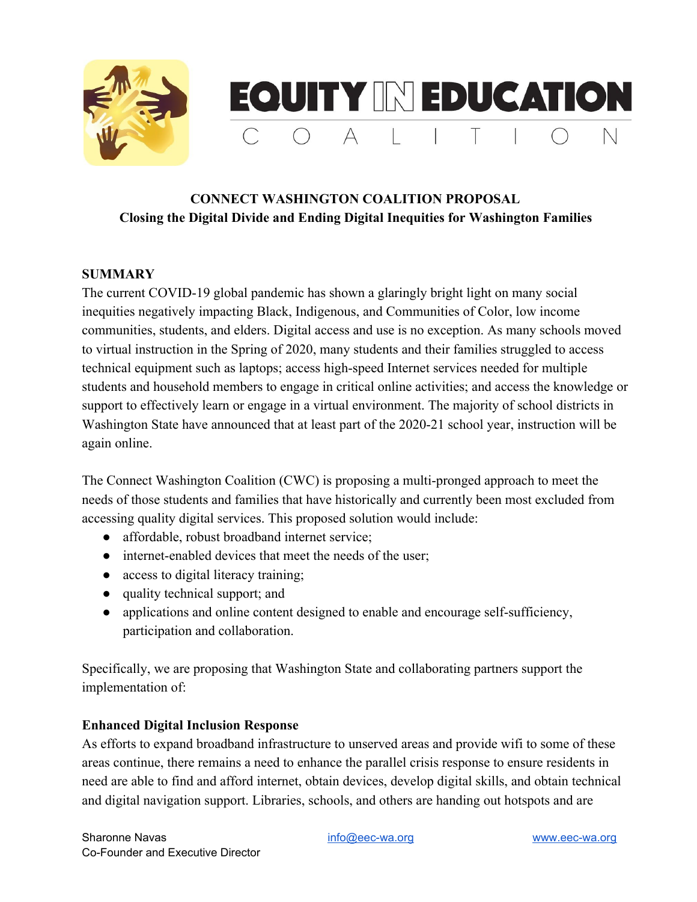

## **CONNECT WASHINGTON COALITION PROPOSAL Closing the Digital Divide and Ending Digital Inequities for Washington Families**

#### **SUMMARY**

The current COVID-19 global pandemic has shown a glaringly bright light on many social inequities negatively impacting Black, Indigenous, and Communities of Color, low income communities, students, and elders. Digital access and use is no exception. As many schools moved to virtual instruction in the Spring of 2020, many students and their families struggled to access technical equipment such as laptops; access high-speed Internet services needed for multiple students and household members to engage in critical online activities; and access the knowledge or support to effectively learn or engage in a virtual environment. The majority of school districts in Washington State have announced that at least part of the 2020-21 school year, instruction will be again online.

The Connect Washington Coalition (CWC) is proposing a multi-pronged approach to meet the needs of those students and families that have historically and currently been most excluded from accessing quality digital services. This proposed solution would include:

- affordable, robust broadband internet service;
- internet-enabled devices that meet the needs of the user;
- access to digital literacy training;
- quality technical support; and
- applications and online content designed to enable and encourage self-sufficiency, participation and collaboration.

Specifically, we are proposing that Washington State and collaborating partners support the implementation of:

#### **Enhanced Digital Inclusion Response**

As efforts to expand broadband infrastructure to unserved areas and provide wifi to some of these areas continue, there remains a need to enhance the parallel crisis response to ensure residents in need are able to find and afford internet, obtain devices, develop digital skills, and obtain technical and digital navigation support. Libraries, schools, and others are handing out hotspots and are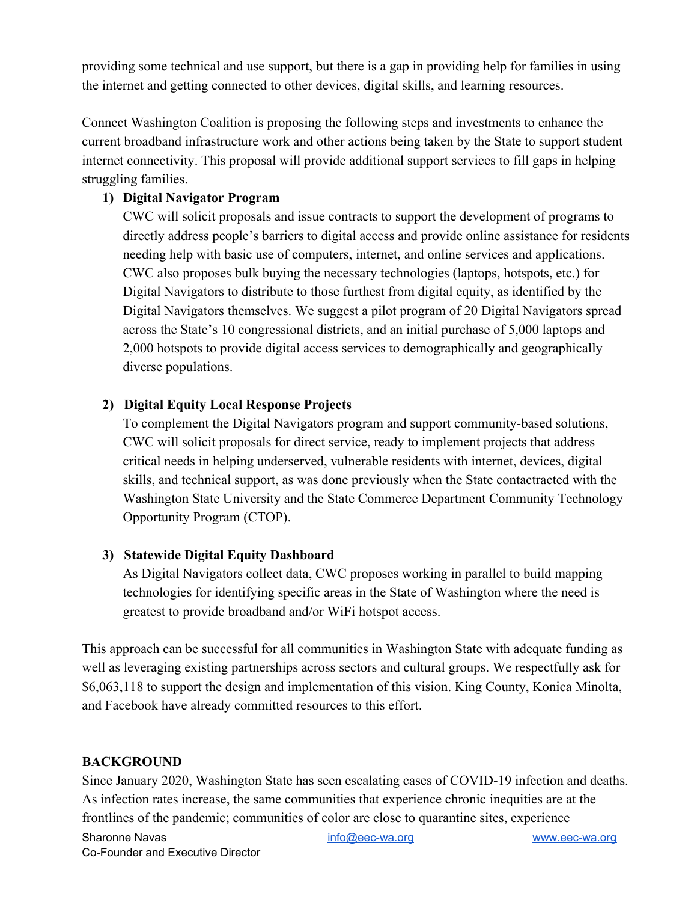providing some technical and use support, but there is a gap in providing help for families in using the internet and getting connected to other devices, digital skills, and learning resources.

Connect Washington Coalition is proposing the following steps and investments to enhance the current broadband infrastructure work and other actions being taken by the State to support student internet connectivity. This proposal will provide additional support services to fill gaps in helping struggling families.

## **1) Digital Navigator Program**

CWC will solicit proposals and issue contracts to support the development of programs to directly address people's barriers to digital access and provide online assistance for residents needing help with basic use of computers, internet, and online services and applications. CWC also proposes bulk buying the necessary technologies (laptops, hotspots, etc.) for Digital Navigators to distribute to those furthest from digital equity, as identified by the Digital Navigators themselves. We suggest a pilot program of 20 Digital Navigators spread across the State's 10 congressional districts, and an initial purchase of 5,000 laptops and 2,000 hotspots to provide digital access services to demographically and geographically diverse populations.

#### **2) Digital Equity Local Response Projects**

To complement the Digital Navigators program and support community-based solutions, CWC will solicit proposals for direct service, ready to implement projects that address critical needs in helping underserved, vulnerable residents with internet, devices, digital skills, and technical support, as was done previously when the State contactracted with the Washington State University and the State Commerce Department Community Technology Opportunity Program (CTOP).

#### **3) Statewide Digital Equity Dashboard**

As Digital Navigators collect data, CWC proposes working in parallel to build mapping technologies for identifying specific areas in the State of Washington where the need is greatest to provide broadband and/or WiFi hotspot access.

This approach can be successful for all communities in Washington State with adequate funding as well as leveraging existing partnerships across sectors and cultural groups. We respectfully ask for \$6,063,118 to support the design and implementation of this vision. King County, Konica Minolta, and Facebook have already committed resources to this effort.

#### **BACKGROUND**

Since January 2020, Washington State has seen escalating cases of COVID-19 infection and deaths. As infection rates increase, the same communities that experience chronic inequities are at the frontlines of the pandemic; communities of color are close to quarantine sites, experience

Sharonne Navas [info@eec-wa.org](mailto:info@eec-wa.org) [www.eec-wa.org](http://www.eec-wa.org/) Co-Founder and Executive Director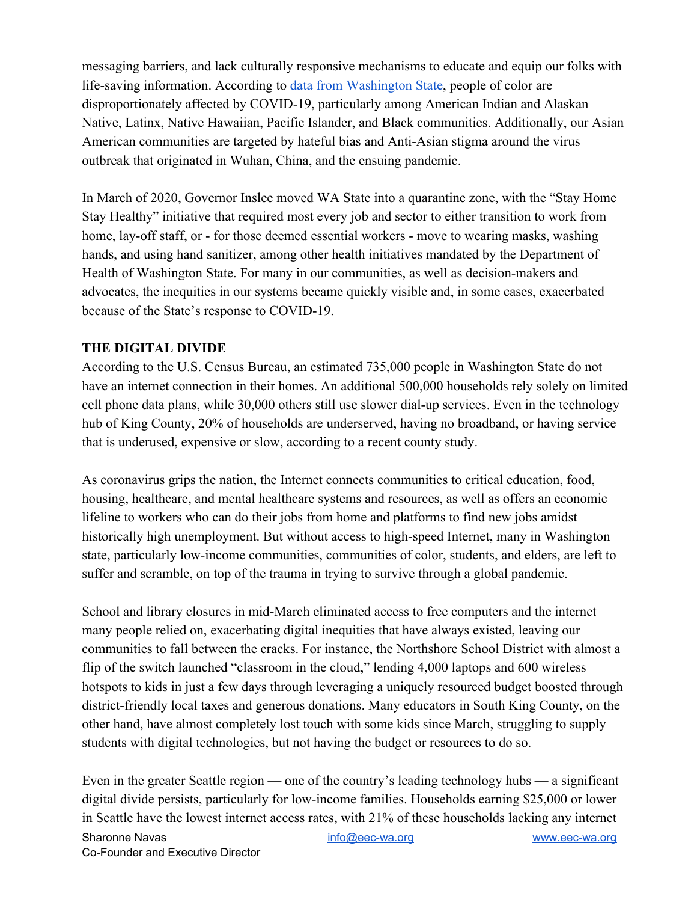messaging barriers, and lack culturally responsive mechanisms to educate and equip our folks with life-saving information. According to [data from Washington State](https://www.doh.wa.gov/Emergencies/NovelCoronavirusOutbreak2020COVID19/DataDashboard), people of color are disproportionately affected by COVID-19, particularly among American Indian and Alaskan Native, Latinx, Native Hawaiian, Pacific Islander, and Black communities. Additionally, our Asian American communities are targeted by hateful bias and Anti-Asian stigma around the virus outbreak that originated in Wuhan, China, and the ensuing pandemic.

In March of 2020, Governor Inslee moved WA State into a quarantine zone, with the "Stay Home Stay Healthy" initiative that required most every job and sector to either transition to work from home, lay-off staff, or - for those deemed essential workers - move to wearing masks, washing hands, and using hand sanitizer, among other health initiatives mandated by the Department of Health of Washington State. For many in our communities, as well as decision-makers and advocates, the inequities in our systems became quickly visible and, in some cases, exacerbated because of the State's response to COVID-19.

#### **THE DIGITAL DIVIDE**

According to the U.S. Census Bureau, an estimated 735,000 people in Washington State do not have an internet connection in their homes. An additional 500,000 households rely solely on limited cell phone data plans, while 30,000 others still use slower dial-up services. Even in the technology hub of King County, 20% of households are underserved, having no broadband, or having service that is underused, expensive or slow, according to a recent county study.

As coronavirus grips the nation, the Internet connects communities to critical education, food, housing, healthcare, and mental healthcare systems and resources, as well as offers an economic lifeline to workers who can do their jobs from home and platforms to find new jobs amidst historically high unemployment. But without access to high-speed Internet, many in Washington state, particularly low-income communities, communities of color, students, and elders, are left to suffer and scramble, on top of the trauma in trying to survive through a global pandemic.

School and library closures in mid-March eliminated access to free computers and the internet many people relied on, exacerbating digital inequities that have always existed, leaving our communities to fall between the cracks. For instance, the Northshore School District with almost a flip of the switch launched "classroom in the cloud," lending 4,000 laptops and 600 wireless hotspots to kids in just a few days through leveraging a uniquely resourced budget boosted through district-friendly local taxes and generous donations. Many educators in South King County, on the other hand, have almost completely lost touch with some kids since March, struggling to supply students with digital technologies, but not having the budget or resources to do so.

Even in the greater Seattle region — one of the country's leading technology hubs — a significant digital divide persists, particularly for low-income families. Households earning \$25,000 or lower in Seattle have the lowest internet access rates, with 21% of these households lacking any internet Sharonne Navas and the state of the state of the state of the state of the state of the state of the state of the state of the state of the state of the state of the state of the state of the state of the state of the stat Co-Founder and Executive Director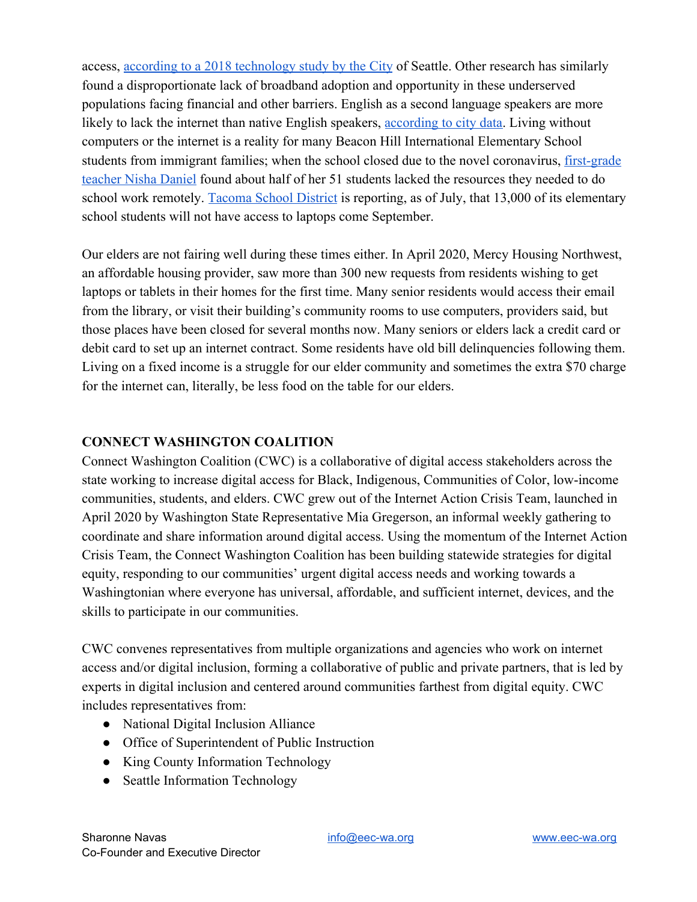access, [according to a 2018 technology study by the City](https://www.seattle.gov/tech/initiatives/digital-equity/technology-access-and-adoption-study) of Seattle. Other research has similarly found a disproportionate lack of broadband adoption and opportunity in these underserved populations facing financial and other barriers. English as a second language speakers are more likely to lack the internet than native English speakers, [according to city data.](https://www.seattle.gov/tech/initiatives/digital-equity/technology-access-and-adoption-study) Living without computers or the internet is a reality for many Beacon Hill International Elementary School students from immigrant families; when the school closed due to the novel coronavirus, [first-grade](https://southseattleemerald.com/2020/05/11/opinion-high-quality-internet-has-been-long-overdue-for-all-seattle-students/) [teacher Nisha Daniel](https://southseattleemerald.com/2020/05/11/opinion-high-quality-internet-has-been-long-overdue-for-all-seattle-students/) found about half of her 51 students lacked the resources they needed to do school work remotely. [Tacoma School District](https://www.knkx.org/post/tacoma-public-schools-warns-some-students-will-not-have-laptops-until-january) is reporting, as of July, that 13,000 of its elementary school students will not have access to laptops come September.

Our elders are not fairing well during these times either. In April 2020, Mercy Housing Northwest, an affordable housing provider, saw more than 300 new requests from residents wishing to get laptops or tablets in their homes for the first time. Many senior residents would access their email from the library, or visit their building's community rooms to use computers, providers said, but those places have been closed for several months now. Many seniors or elders lack a credit card or debit card to set up an internet contract. Some residents have old bill delinquencies following them. Living on a fixed income is a struggle for our elder community and sometimes the extra \$70 charge for the internet can, literally, be less food on the table for our elders.

## **CONNECT WASHINGTON COALITION**

Connect Washington Coalition (CWC) is a collaborative of digital access stakeholders across the state working to increase digital access for Black, Indigenous, Communities of Color, low-income communities, students, and elders. CWC grew out of the Internet Action Crisis Team, launched in April 2020 by Washington State Representative Mia Gregerson, an informal weekly gathering to coordinate and share information around digital access. Using the momentum of the Internet Action Crisis Team, the Connect Washington Coalition has been building statewide strategies for digital equity, responding to our communities' urgent digital access needs and working towards a Washingtonian where everyone has universal, affordable, and sufficient internet, devices, and the skills to participate in our communities.

CWC convenes representatives from multiple organizations and agencies who work on internet access and/or digital inclusion, forming a collaborative of public and private partners, that is led by experts in digital inclusion and centered around communities farthest from digital equity. CWC includes representatives from:

- National Digital Inclusion Alliance
- Office of Superintendent of Public Instruction
- King County Information Technology
- Seattle Information Technology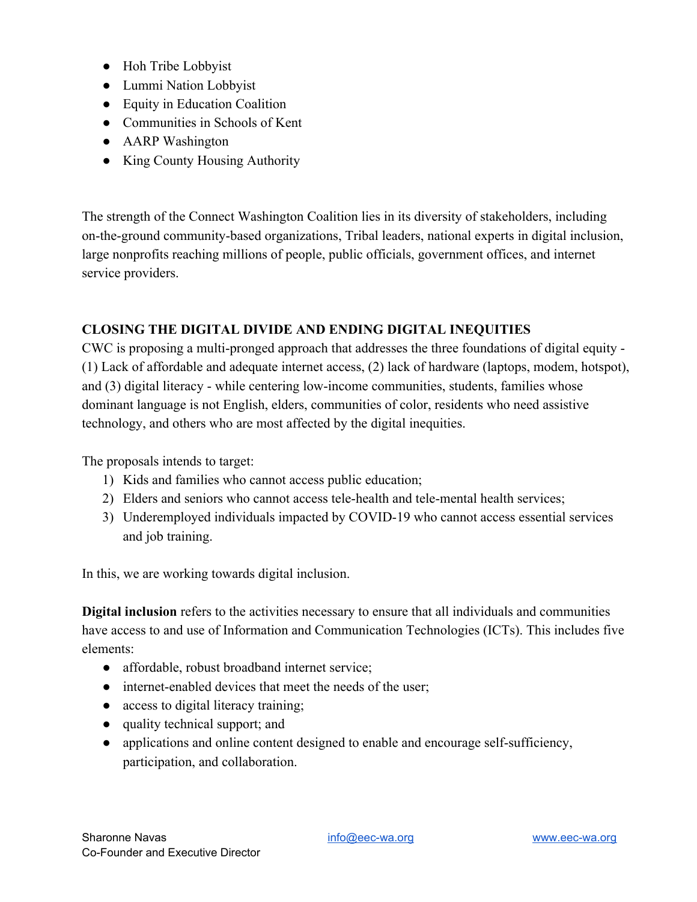- Hoh Tribe Lobbyist
- Lummi Nation Lobbyist
- Equity in Education Coalition
- Communities in Schools of Kent
- AARP Washington
- King County Housing Authority

The strength of the Connect Washington Coalition lies in its diversity of stakeholders, including on-the-ground community-based organizations, Tribal leaders, national experts in digital inclusion, large nonprofits reaching millions of people, public officials, government offices, and internet service providers.

## **CLOSING THE DIGITAL DIVIDE AND ENDING DIGITAL INEQUITIES**

CWC is proposing a multi-pronged approach that addresses the three foundations of digital equity - (1) Lack of affordable and adequate internet access, (2) lack of hardware (laptops, modem, hotspot), and (3) digital literacy - while centering low-income communities, students, families whose dominant language is not English, elders, communities of color, residents who need assistive technology, and others who are most affected by the digital inequities.

The proposals intends to target:

- 1) Kids and families who cannot access public education;
- 2) Elders and seniors who cannot access tele-health and tele-mental health services;
- 3) Underemployed individuals impacted by COVID-19 who cannot access essential services and job training.

In this, we are working towards digital inclusion.

**Digital inclusion** refers to the activities necessary to ensure that all individuals and communities have access to and use of Information and Communication Technologies (ICTs). This includes five elements:

- affordable, robust broadband internet service;
- internet-enabled devices that meet the needs of the user;
- access to digital literacy training;
- quality technical support; and
- applications and online content designed to enable and encourage self-sufficiency, participation, and collaboration.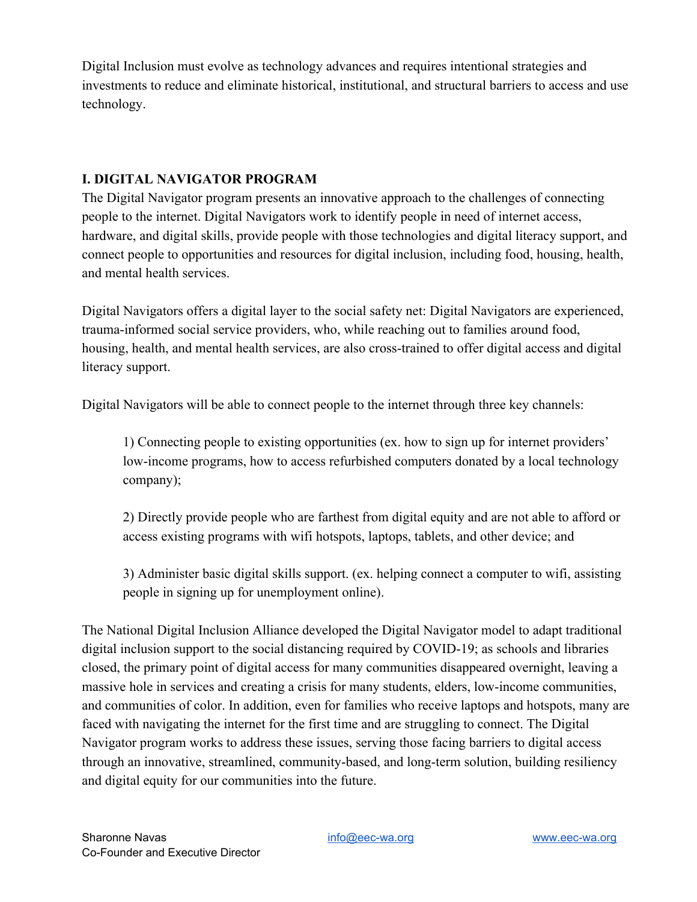Digital Inclusion must evolve as technology advances and requires intentional strategies and investments to reduce and eliminate historical, institutional, and structural barriers to access and use technology.

## **I. DIGITAL NAVIGATOR PROGRAM**

The Digital Navigator program presents an innovative approach to the challenges of connecting people to the internet. Digital Navigators work to identify people in need of internet access, hardware, and digital skills, provide people with those technologies and digital literacy support, and connect people to opportunities and resources for digital inclusion, including food, housing, health, and mental health services.

Digital Navigators offers a digital layer to the social safety net: Digital Navigators are experienced, trauma-informed social service providers, who, while reaching out to families around food, housing, health, and mental health services, are also cross-trained to offer digital access and digital literacy support.

Digital Navigators will be able to connect people to the internet through three key channels:

1) Connecting people to existing opportunities (ex. how to sign up for internet providers' low-income programs, how to access refurbished computers donated by a local technology company);

2) Directly provide people who are farthest from digital equity and are not able to afford or access existing programs with wifi hotspots, laptops, tablets, and other device; and

3) Administer basic digital skills support. (ex. helping connect a computer to wifi, assisting people in signing up for unemployment online).

The National Digital Inclusion Alliance developed the Digital Navigator model to adapt traditional digital inclusion support to the social distancing required by COVID-19; as schools and libraries closed, the primary point of digital access for many communities disappeared overnight, leaving a massive hole in services and creating a crisis for many students, elders, low-income communities, and communities of color. In addition, even for families who receive laptops and hotspots, many are faced with navigating the internet for the first time and are struggling to connect. The Digital Navigator program works to address these issues, serving those facing barriers to digital access through an innovative, streamlined, community-based, and long-term solution, building resiliency and digital equity for our communities into the future.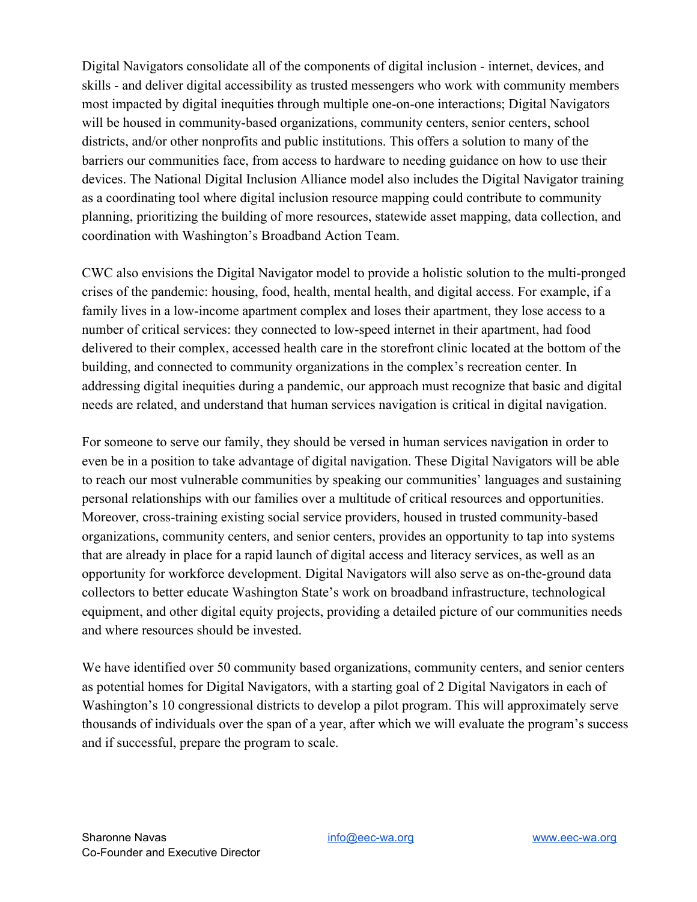Digital Navigators consolidate all of the components of digital inclusion - internet, devices, and skills - and deliver digital accessibility as trusted messengers who work with community members most impacted by digital inequities through multiple one-on-one interactions; Digital Navigators will be housed in community-based organizations, community centers, senior centers, school districts, and/or other nonprofits and public institutions. This offers a solution to many of the barriers our communities face, from access to hardware to needing guidance on how to use their devices. The National Digital Inclusion Alliance model also includes the Digital Navigator training as a coordinating tool where digital inclusion resource mapping could contribute to community planning, prioritizing the building of more resources, statewide asset mapping, data collection, and coordination with Washington's Broadband Action Team.

CWC also envisions the Digital Navigator model to provide a holistic solution to the multi-pronged crises of the pandemic: housing, food, health, mental health, and digital access. For example, if a family lives in a low-income apartment complex and loses their apartment, they lose access to a number of critical services: they connected to low-speed internet in their apartment, had food delivered to their complex, accessed health care in the storefront clinic located at the bottom of the building, and connected to community organizations in the complex's recreation center. In addressing digital inequities during a pandemic, our approach must recognize that basic and digital needs are related, and understand that human services navigation is critical in digital navigation.

For someone to serve our family, they should be versed in human services navigation in order to even be in a position to take advantage of digital navigation. These Digital Navigators will be able to reach our most vulnerable communities by speaking our communities' languages and sustaining personal relationships with our families over a multitude of critical resources and opportunities. Moreover, cross-training existing social service providers, housed in trusted community-based organizations, community centers, and senior centers, provides an opportunity to tap into systems that are already in place for a rapid launch of digital access and literacy services, as well as an opportunity for workforce development. Digital Navigators will also serve as on-the-ground data collectors to better educate Washington State's work on broadband infrastructure, technological equipment, and other digital equity projects, providing a detailed picture of our communities needs and where resources should be invested.

We have identified over 50 community based organizations, community centers, and senior centers as potential homes for Digital Navigators, with a starting goal of 2 Digital Navigators in each of Washington's 10 congressional districts to develop a pilot program. This will approximately serve thousands of individuals over the span of a year, after which we will evaluate the program's success and if successful, prepare the program to scale.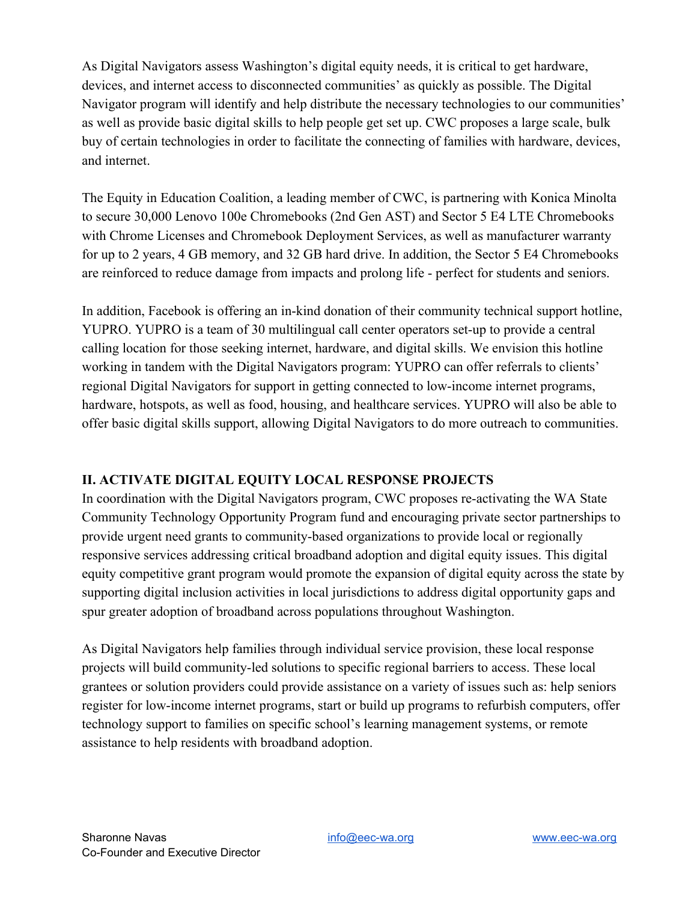As Digital Navigators assess Washington's digital equity needs, it is critical to get hardware, devices, and internet access to disconnected communities' as quickly as possible. The Digital Navigator program will identify and help distribute the necessary technologies to our communities' as well as provide basic digital skills to help people get set up. CWC proposes a large scale, bulk buy of certain technologies in order to facilitate the connecting of families with hardware, devices, and internet.

The Equity in Education Coalition, a leading member of CWC, is partnering with Konica Minolta to secure 30,000 Lenovo 100e Chromebooks (2nd Gen AST) and Sector 5 E4 LTE Chromebooks with Chrome Licenses and Chromebook Deployment Services, as well as manufacturer warranty for up to 2 years, 4 GB memory, and 32 GB hard drive. In addition, the Sector 5 E4 Chromebooks are reinforced to reduce damage from impacts and prolong life - perfect for students and seniors.

In addition, Facebook is offering an in-kind donation of their community technical support hotline, YUPRO. YUPRO is a team of 30 multilingual call center operators set-up to provide a central calling location for those seeking internet, hardware, and digital skills. We envision this hotline working in tandem with the Digital Navigators program: YUPRO can offer referrals to clients' regional Digital Navigators for support in getting connected to low-income internet programs, hardware, hotspots, as well as food, housing, and healthcare services. YUPRO will also be able to offer basic digital skills support, allowing Digital Navigators to do more outreach to communities.

## **II. ACTIVATE DIGITAL EQUITY LOCAL RESPONSE PROJECTS**

In coordination with the Digital Navigators program, CWC proposes re-activating the WA State Community Technology Opportunity Program fund and encouraging private sector partnerships to provide urgent need grants to community-based organizations to provide local or regionally responsive services addressing critical broadband adoption and digital equity issues. This digital equity competitive grant program would promote the expansion of digital equity across the state by supporting digital inclusion activities in local jurisdictions to address digital opportunity gaps and spur greater adoption of broadband across populations throughout Washington.

As Digital Navigators help families through individual service provision, these local response projects will build community-led solutions to specific regional barriers to access. These local grantees or solution providers could provide assistance on a variety of issues such as: help seniors register for low-income internet programs, start or build up programs to refurbish computers, offer technology support to families on specific school's learning management systems, or remote assistance to help residents with broadband adoption.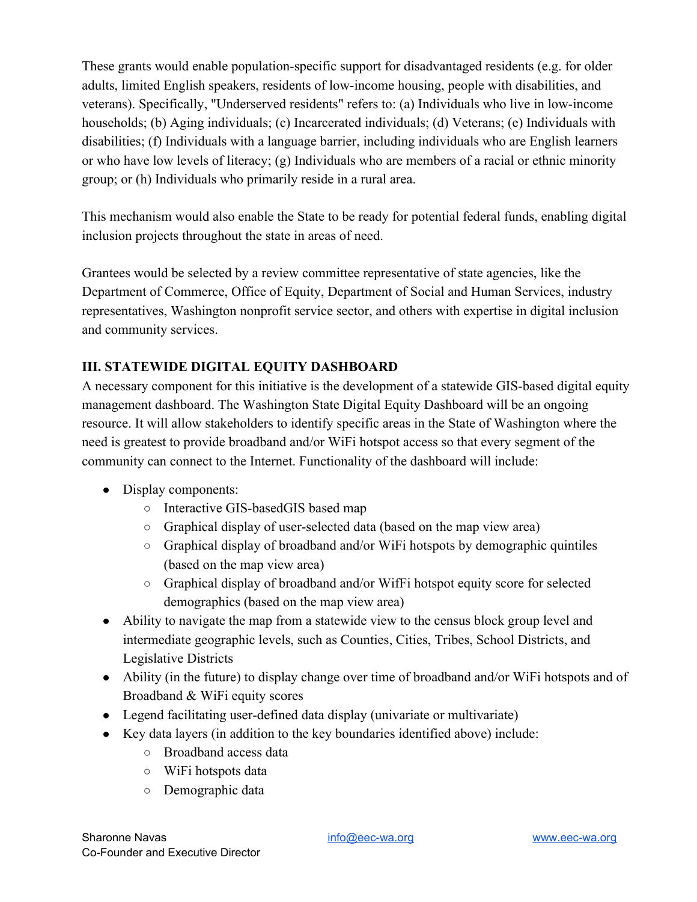These grants would enable population-specific support for disadvantaged residents (e.g. for older adults, limited English speakers, residents of low-income housing, people with disabilities, and veterans). Specifically, "Underserved residents" refers to: (a) Individuals who live in low-income households; (b) Aging individuals; (c) Incarcerated individuals; (d) Veterans; (e) Individuals with disabilities; (f) Individuals with a language barrier, including individuals who are English learners or who have low levels of literacy; (g) Individuals who are members of a racial or ethnic minority group; or (h) Individuals who primarily reside in a rural area.

This mechanism would also enable the State to be ready for potential federal funds, enabling digital inclusion projects throughout the state in areas of need.

Grantees would be selected by a review committee representative of state agencies, like the Department of Commerce, Office of Equity, Department of Social and Human Services, industry representatives, Washington nonprofit service sector, and others with expertise in digital inclusion and community services.

## **III. STATEWIDE DIGITAL EQUITY DASHBOARD**

A necessary component for this initiative is the development of a statewide GIS-based digital equity management dashboard. The Washington State Digital Equity Dashboard will be an ongoing resource. It will allow stakeholders to identify specific areas in the State of Washington where the need is greatest to provide broadband and/or WiFi hotspot access so that every segment of the community can connect to the Internet. Functionality of the dashboard will include:

- Display components:
	- Interactive GIS-basedGIS based map
	- Graphical display of user-selected data (based on the map view area)
	- Graphical display of broadband and/or WiFi hotspots by demographic quintiles (based on the map view area)
	- Graphical display of broadband and/or WifFi hotspot equity score for selected demographics (based on the map view area)
- Ability to navigate the map from a statewide view to the census block group level and intermediate geographic levels, such as Counties, Cities, Tribes, School Districts, and Legislative Districts
- Ability (in the future) to display change over time of broadband and/or WiFi hotspots and of Broadband & WiFi equity scores
- Legend facilitating user-defined data display (univariate or multivariate)
- Key data layers (in addition to the key boundaries identified above) include:
	- Broadband access data
	- WiFi hotspots data
	- Demographic data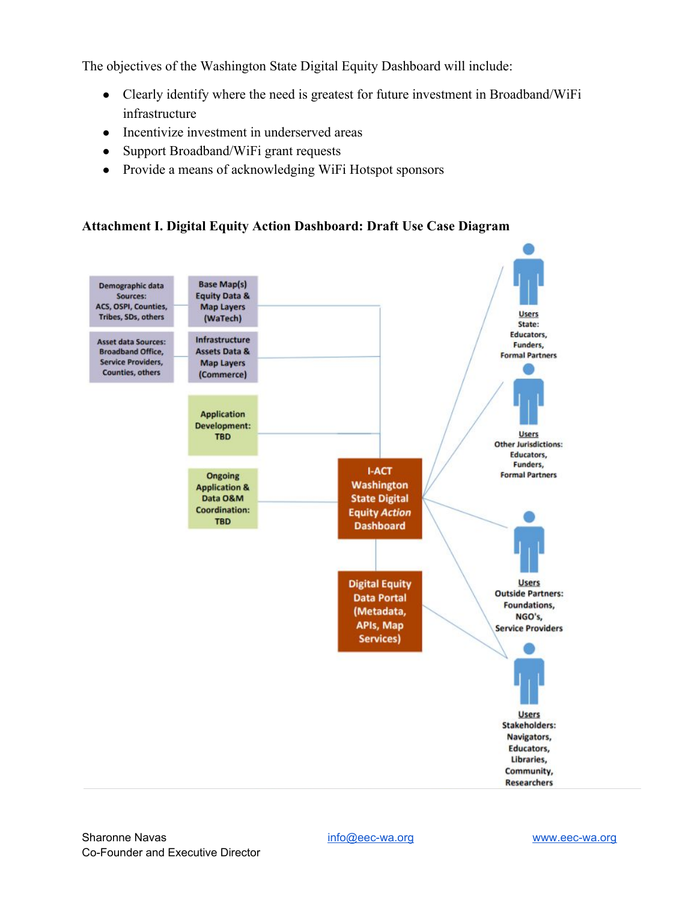The objectives of the Washington State Digital Equity Dashboard will include:

- Clearly identify where the need is greatest for future investment in Broadband/WiFi infrastructure
- Incentivize investment in underserved areas
- Support Broadband/WiFi grant requests
- Provide a means of acknowledging WiFi Hotspot sponsors

#### **Attachment I. Digital Equity Action Dashboard: Draft Use Case Diagram**

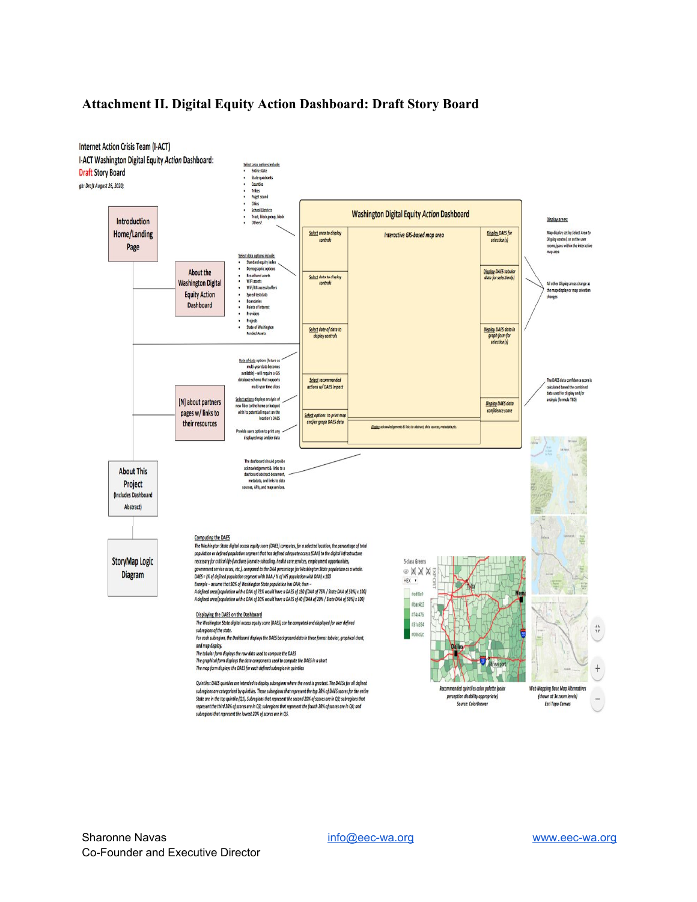#### **Attachment II. Digital Equity Action Dashboard: Draft Story Board**

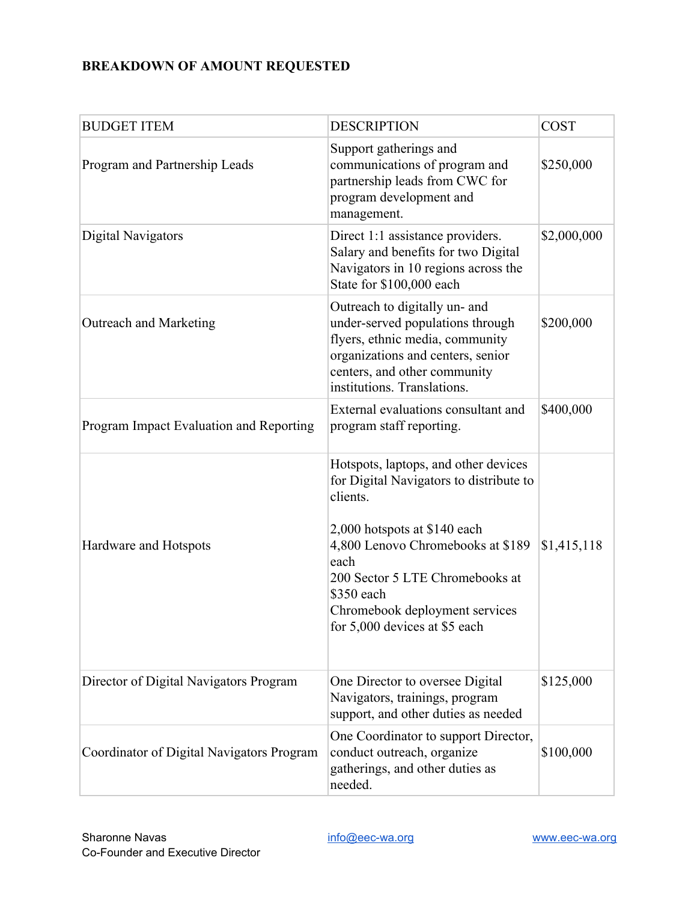# **BREAKDOWN OF AMOUNT REQUESTED**

| <b>BUDGET ITEM</b>                        | <b>DESCRIPTION</b>                                                                                                                                                                                                                                                                           | <b>COST</b> |
|-------------------------------------------|----------------------------------------------------------------------------------------------------------------------------------------------------------------------------------------------------------------------------------------------------------------------------------------------|-------------|
| Program and Partnership Leads             | Support gatherings and<br>communications of program and<br>partnership leads from CWC for<br>program development and<br>management.                                                                                                                                                          | \$250,000   |
| Digital Navigators                        | Direct 1:1 assistance providers.<br>Salary and benefits for two Digital<br>Navigators in 10 regions across the<br>State for \$100,000 each                                                                                                                                                   | \$2,000,000 |
| Outreach and Marketing                    | Outreach to digitally un- and<br>under-served populations through<br>flyers, ethnic media, community<br>organizations and centers, senior<br>centers, and other community<br>institutions. Translations.                                                                                     | \$200,000   |
| Program Impact Evaluation and Reporting   | External evaluations consultant and<br>program staff reporting.                                                                                                                                                                                                                              | \$400,000   |
| Hardware and Hotspots                     | Hotspots, laptops, and other devices<br>for Digital Navigators to distribute to<br>clients.<br>2,000 hotspots at \$140 each<br>4,800 Lenovo Chromebooks at \$189<br>each<br>200 Sector 5 LTE Chromebooks at<br>\$350 each<br>Chromebook deployment services<br>for 5,000 devices at \$5 each | \$1,415,118 |
| Director of Digital Navigators Program    | One Director to oversee Digital<br>Navigators, trainings, program<br>support, and other duties as needed                                                                                                                                                                                     | \$125,000   |
| Coordinator of Digital Navigators Program | One Coordinator to support Director,<br>conduct outreach, organize<br>gatherings, and other duties as<br>needed.                                                                                                                                                                             | \$100,000   |